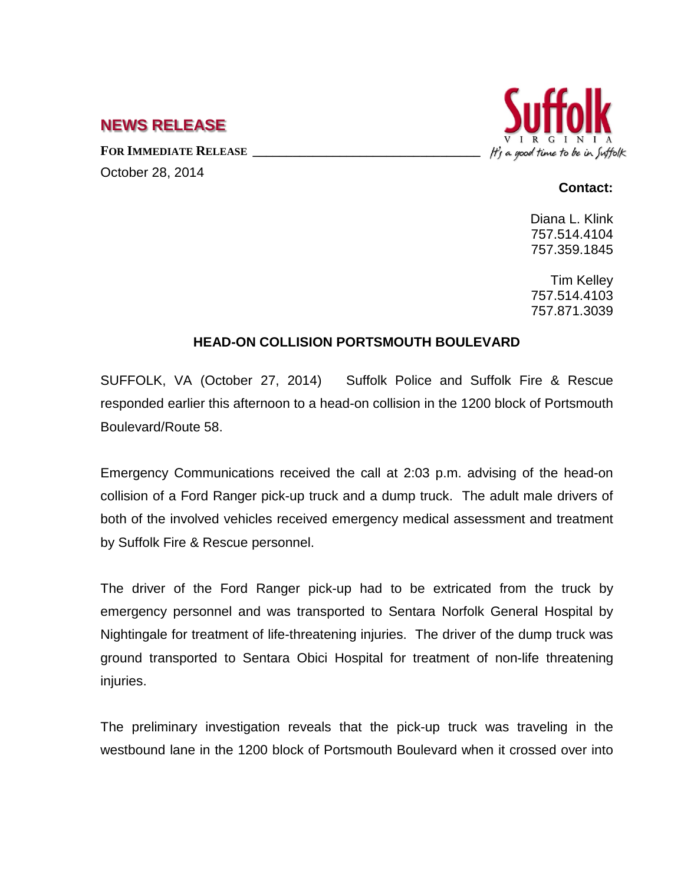## **NEWS RELEASE**

FOR IMMEDIATE RELEASE October 28, 2014



## **Contact:**

Diana L. Klink 757.514.4104 757.359.1845

Tim Kelley 757.514.4103 757.871.3039

## **HEAD-ON COLLISION PORTSMOUTH BOULEVARD**

SUFFOLK, VA (October 27, 2014) Suffolk Police and Suffolk Fire & Rescue responded earlier this afternoon to a head-on collision in the 1200 block of Portsmouth Boulevard/Route 58.

Emergency Communications received the call at 2:03 p.m. advising of the head-on collision of a Ford Ranger pick-up truck and a dump truck. The adult male drivers of both of the involved vehicles received emergency medical assessment and treatment by Suffolk Fire & Rescue personnel.

The driver of the Ford Ranger pick-up had to be extricated from the truck by emergency personnel and was transported to Sentara Norfolk General Hospital by Nightingale for treatment of life-threatening injuries. The driver of the dump truck was ground transported to Sentara Obici Hospital for treatment of non-life threatening injuries.

The preliminary investigation reveals that the pick-up truck was traveling in the westbound lane in the 1200 block of Portsmouth Boulevard when it crossed over into